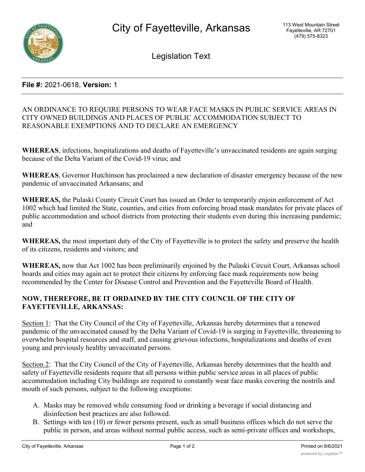

Legislation Text

# **File #:** 2021-0618, **Version:** 1

# AN ORDINANCE TO REQUIRE PERSONS TO WEAR FACE MASKS IN PUBLIC SERVICE AREAS IN CITY OWNED BUILDINGS AND PLACES OF PUBLIC ACCOMMODATION SUBJECT TO REASONABLE EXEMPTIONS AND TO DECLARE AN EMERGENCY

**WHEREAS**, infections, hospitalizations and deaths of Fayetteville's unvaccinated residents are again surging because of the Delta Variant of the Covid-19 virus; and

**WHEREAS**, Governor Hutchinson has proclaimed a new declaration of disaster emergency because of the new pandemic of unvaccinated Arkansans; and

**WHEREAS,** the Pulaski County Circuit Court has issued an Order to temporarily enjoin enforcement of Act 1002 which had limited the State, counties, and cities from enforcing broad mask mandates for private places of public accommodation and school districts from protecting their students even during this increasing pandemic; and

**WHEREAS,** the most important duty of the City of Fayetteville is to protect the safety and preserve the health of its citizens, residents and visitors; and

**WHEREAS,** now that Act 1002 has been preliminarily enjoined by the Pulaski Circuit Court, Arkansas school boards and cities may again act to protect their citizens by enforcing face mask requirements now being recommended by the Center for Disease Control and Prevention and the Fayetteville Board of Health.

# **NOW, THEREFORE, BE IT ORDAINED BY THE CITY COUNCIL OF THE CITY OF FAYETTEVILLE, ARKANSAS:**

Section 1: That the City Council of the City of Fayetteville, Arkansas hereby determines that a renewed pandemic of the unvaccinated caused by the Delta Variant of Covid-19 is surging in Fayetteville, threatening to overwhelm hospital resources and staff, and causing grievous infections, hospitalizations and deaths of even young and previously healthy unvaccinated persons.

Section 2: That the City Council of the City of Fayetteville, Arkansas hereby determines that the health and safety of Fayetteville residents require that all persons within public service areas in all places of public accommodation including City buildings are required to constantly wear face masks covering the nostrils and mouth of such persons, subject to the following exceptions:

- A. Masks may be removed while consuming food or drinking a beverage if social distancing and disinfection best practices are also followed.
- B. Settings with ten (10) or fewer persons present, such as small business offices which do not serve the public in person, and areas without normal public access, such as semi-private offices and workshops,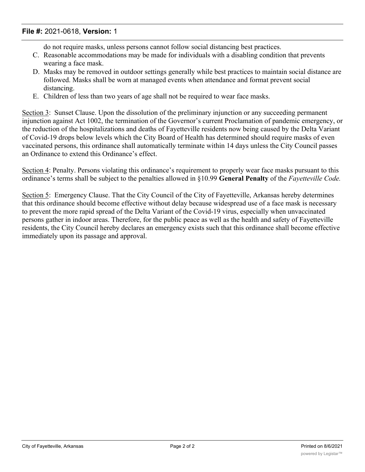# **File #:** 2021-0618, **Version:** 1

do not require masks, unless persons cannot follow social distancing best practices.

- C. Reasonable accommodations may be made for individuals with a disabling condition that prevents wearing a face mask.
- D. Masks may be removed in outdoor settings generally while best practices to maintain social distance are followed. Masks shall be worn at managed events when attendance and format prevent social distancing.
- E. Children of less than two years of age shall not be required to wear face masks.

Section 3: Sunset Clause. Upon the dissolution of the preliminary injunction or any succeeding permanent injunction against Act 1002, the termination of the Governor's current Proclamation of pandemic emergency, or the reduction of the hospitalizations and deaths of Fayetteville residents now being caused by the Delta Variant of Covid-19 drops below levels which the City Board of Health has determined should require masks of even vaccinated persons, this ordinance shall automatically terminate within 14 days unless the City Council passes an Ordinance to extend this Ordinance's effect.

Section 4: Penalty. Persons violating this ordinance's requirement to properly wear face masks pursuant to this ordinance's terms shall be subject to the penalties allowed in §10.99 **General Penalty** of the *Fayetteville Code.*

Section 5: Emergency Clause. That the City Council of the City of Fayetteville, Arkansas hereby determines that this ordinance should become effective without delay because widespread use of a face mask is necessary to prevent the more rapid spread of the Delta Variant of the Covid-19 virus, especially when unvaccinated persons gather in indoor areas. Therefore, for the public peace as well as the health and safety of Fayetteville residents, the City Council hereby declares an emergency exists such that this ordinance shall become effective immediately upon its passage and approval.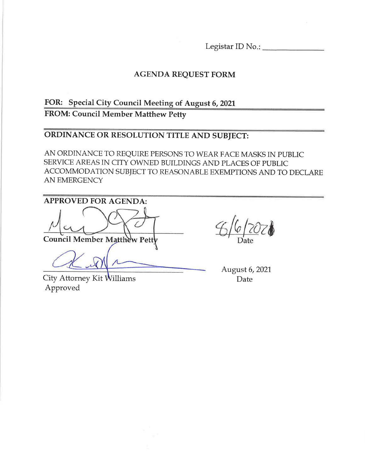Legistar ID No.:

# **AGENDA REQUEST FORM**

# FOR: Special City Council Meeting of August 6, 2021 **FROM: Council Member Matthew Petty**

# ORDINANCE OR RESOLUTION TITLE AND SUBJECT:

AN ORDINANCE TO REQUIRE PERSONS TO WEAR FACE MASKS IN PUBLIC SERVICE AREAS IN CITY OWNED BUILDINGS AND PLACES OF PUBLIC ACCOMMODATION SUBJECT TO REASONABLE EXEMPTIONS AND TO DECLARE AN EMERGENCY

**APPROVED FOR AGENDA:** Council Member Matthew Petty

City Attorney Kit Williams Approved

August 6, 2021 Date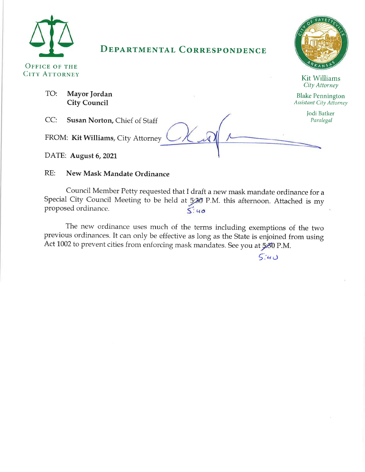

TO:

# **DEPARTMENTAL CORRESPONDENCE**



Kit Williams City Attorney

**Blake Pennington Assistant City Attorney** 

Jodi Batker

Paralegal

 $CC:$ Susan Norton, Chief of Staff

FROM: Kit Williams, City Attorney

DATE: August 6, 2021

#### $RE:$ New Mask Mandate Ordinance

Council Member Petty requested that I draft a new mask mandate ordinance for a Special City Council Meeting to be held at 5:30 P.M. this afternoon. Attached is my proposed ordinance.  $5:40$ 

The new ordinance uses much of the terms including exemptions of the two previous ordinances. It can only be effective as long as the State is enjoined from using Act 1002 to prevent cities from enforcing mask mandates. See you at 5:30 P.M.

 $5:40$ 

Mayor Jordan **City Council**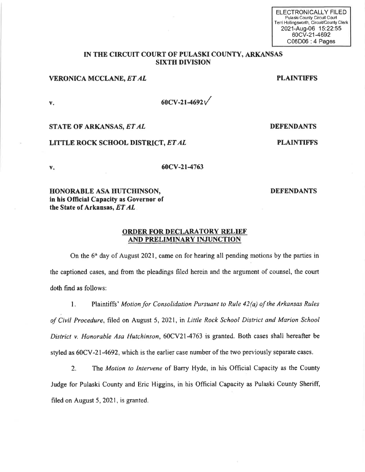| ELECTRONICALLY FILED                      |
|-------------------------------------------|
| Pulaski County Circuit Court              |
| Terri Hollingsworth, Circuit/County Clerk |
| 2021-Aug-06 15:22:55                      |
| 60CV-21-4692                              |
| $C06D06 \cdot 4$ Pages                    |

#### IN THE CIRCUIT COURT OF PULASKI COUNTY, ARKANSAS **SIXTH DIVISION**

#### **VERONICA MCCLANE, ET AL**

**PLAINTIFFS** 

 $V_{+}$ 

 $V_{\star}$ 

 $60CV - 21 - 4692V$ 

#### STATE OF ARKANSAS, ET AL

### LITTLE ROCK SCHOOL DISTRICT, ET AL

60CV-21-4763

### HONORABLE ASA HUTCHINSON, in his Official Capacity as Governor of the State of Arkansas, ET AL.

#### **ORDER FOR DECLARATORY RELIEF** AND PRELIMINARY INJUNCTION

On the 6<sup>th</sup> day of August 2021, came on for hearing all pending motions by the parties in the captioned cases, and from the pleadings filed herein and the argument of counsel, the court doth find as follows:

Plaintiffs' Motion for Consolidation Pursuant to Rule 42(a) of the Arkansas Rules  $1<sub>1</sub>$ of Civil Procedure, filed on August 5, 2021, in Little Rock School District and Marion School District v. Honorable Asa Hutchinson, 60CV21-4763 is granted. Both cases shall hereafter be styled as 60CV-21-4692, which is the earlier case number of the two previously separate cases.

The Motion to Intervene of Barry Hyde, in his Official Capacity as the County  $2<sup>1</sup>$ Judge for Pulaski County and Eric Higgins, in his Official Capacity as Pulaski County Sheriff, filed on August 5, 2021, is granted.

**DEFENDANTS** 

**DEFENDANTS** 

**PLAINTIFFS**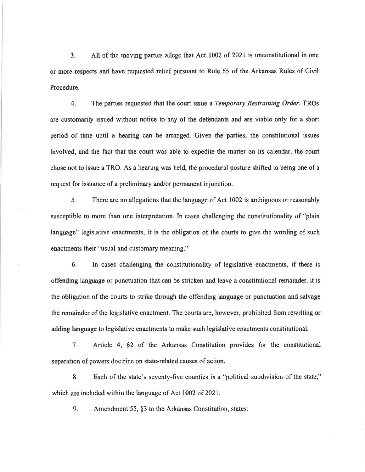All of the moving parties allege that Act 1002 of 2021 is unconstitutional in one 3. or more respects and have requested relief pursuant to Rule 65 of the Arkansas Rules of Civil Procedure.

4. The parties requested that the court issue a Temporary Restraining Order. TROs are customarily issued without notice to any of the defendants and are viable only for a short period of time until a hearing can be arranged. Given the parties, the constitutional issues involved, and the fact that the court was able to expedite the matter on its calendar, the court chose not to issue a TRO. As a hearing was held, the procedural posture shifted to being one of a request for issuance of a preliminary and/or permanent injunction.

 $5.$ There are no allegations that the language of Act 1002 is ambiguous or reasonably susceptible to more than one interpretation. In cases challenging the constitutionality of "plain" language" legislative enactments, it is the obligation of the courts to give the wording of such enactments their "usual and customary meaning."

6. In cases challenging the constitutionality of legislative enactments, if there is offending language or punctuation that can be stricken and leave a constitutional remainder, it is the obligation of the courts to strike through the offending language or punctuation and salvage the remainder of the legislative enactment. The courts are, however, prohibited from rewriting or adding language to legislative enactments to make such legislative enactments constitutional.

Article 4, §2 of the Arkansas Constitution provides for the constitutional  $7<sub>1</sub>$ separation of powers doctrine on state-related causes of action.

8. Each of the state's seventy-five counties is a "political subdivision of the state," which are included within the language of Act 1002 of 2021.

9. Amendment 55, §3 to the Arkansas Constitution, states: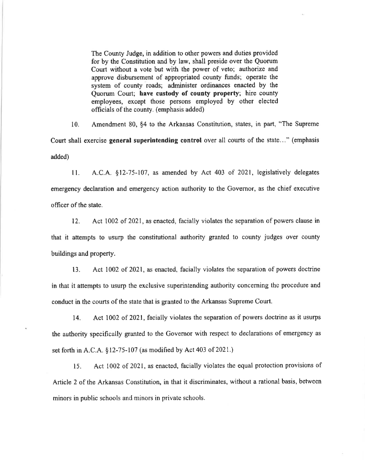The County Judge, in addition to other powers and duties provided for by the Constitution and by law, shall preside over the Quorum Court without a vote but with the power of veto; authorize and approve disbursement of appropriated county funds; operate the system of county roads; administer ordinances enacted by the Quorum Court; have custody of county property; hire county employees, except those persons employed by other elected officials of the county. (emphasis added)

 $10.$ Amendment 80, §4 to the Arkansas Constitution, states, in part, "The Supreme" Court shall exercise general superintending control over all courts of the state..." (emphasis added)

A.C.A. §12-75-107, as amended by Act 403 of 2021, legislatively delegates  $11.$ emergency declaration and emergency action authority to the Governor, as the chief executive officer of the state.

Act 1002 of 2021, as enacted, facially violates the separation of powers clause in  $12<sup>2</sup>$ that it attempts to usurp the constitutional authority granted to county judges over county buildings and property.

Act 1002 of 2021, as enacted, facially violates the separation of powers doctrine  $13.$ in that it attempts to usurp the exclusive superintending authority concerning the procedure and conduct in the courts of the state that is granted to the Arkansas Supreme Court.

Act 1002 of 2021, facially violates the separation of powers doctrine as it usurps 14. the authority specifically granted to the Governor with respect to declarations of emergency as set forth in A.C.A. §12-75-107 (as modified by Act 403 of 2021.)

Act 1002 of 2021, as enacted, facially violates the equal protection provisions of 15. Article 2 of the Arkansas Constitution, in that it discriminates, without a rational basis, between minors in public schools and minors in private schools.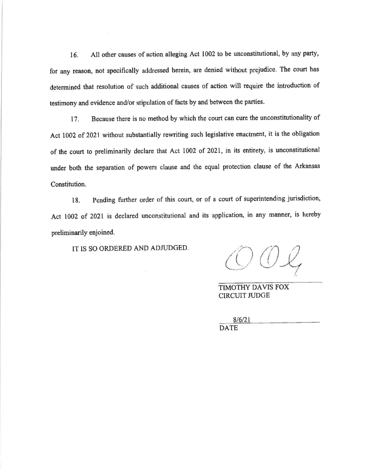All other causes of action alleging Act 1002 to be unconstitutional, by any party, 16. for any reason, not specifically addressed herein, are denied without prejudice. The court has determined that resolution of such additional causes of action will require the introduction of testimony and evidence and/or stipulation of facts by and between the parties.

Because there is no method by which the court can cure the unconstitutionality of  $17.$ Act 1002 of 2021 without substantially rewriting such legislative enactment, it is the obligation of the court to preliminarily declare that Act 1002 of 2021, in its entirety, is unconstitutional under both the separation of powers clause and the equal protection clause of the Arkansas Constitution.

Pending further order of this court, or of a court of superintending jurisdiction, 18. Act 1002 of 2021 is declared unconstitutional and its application, in any manner, is hereby preliminarily enjoined.

IT IS SO ORDERED AND ADJUDGED.

TIMOTHY DAVIS FOX **CIRCUIT JUDGE** 

 $8/6/21$ **DATE**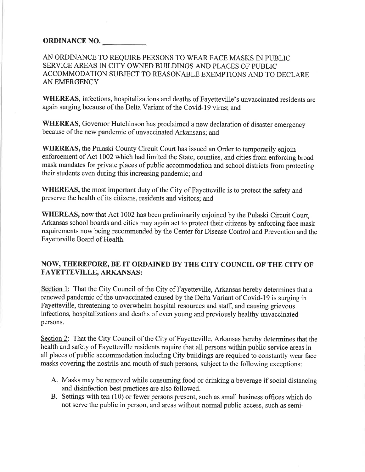# ORDINANCE NO.

# AN ORDINANCE TO REQUIRE PERSONS TO WEAR FACE MASKS IN PUBLIC SERVICE AREAS IN CITY OWNED BUILDINGS AND PLACES OF PUBLIC ACCOMMODATION SUBJECT TO REASONABLE EXEMPTIONS AND TO DECLARE **AN EMERGENCY**

WHEREAS, infections, hospitalizations and deaths of Fayetteville's unvaccinated residents are again surging because of the Delta Variant of the Covid-19 virus; and

WHEREAS, Governor Hutchinson has proclaimed a new declaration of disaster emergency because of the new pandemic of unvaccinated Arkansans; and

**WHEREAS, the Pulaski County Circuit Court has issued an Order to temporarily enjoin** enforcement of Act 1002 which had limited the State, counties, and cities from enforcing broad mask mandates for private places of public accommodation and school districts from protecting their students even during this increasing pandemic; and

WHEREAS, the most important duty of the City of Fayetteville is to protect the safety and preserve the health of its citizens, residents and visitors; and

**WHEREAS**, now that Act 1002 has been preliminarily enjoined by the Pulaski Circuit Court, Arkansas school boards and cities may again act to protect their citizens by enforcing face mask requirements now being recommended by the Center for Disease Control and Prevention and the Fayetteville Board of Health.

# NOW, THEREFORE, BE IT ORDAINED BY THE CITY COUNCIL OF THE CITY OF **FAYETTEVILLE, ARKANSAS:**

Section 1: That the City Council of the City of Fayetteville, Arkansas hereby determines that a renewed pandemic of the unvaccinated caused by the Delta Variant of Covid-19 is surging in Fayetteville, threatening to overwhelm hospital resources and staff, and causing grievous infections, hospitalizations and deaths of even young and previously healthy unvaccinated persons.

Section 2: That the City Council of the City of Fayetteville, Arkansas hereby determines that the health and safety of Fayetteville residents require that all persons within public service areas in all places of public accommodation including City buildings are required to constantly wear face masks covering the nostrils and mouth of such persons, subject to the following exceptions:

- A. Masks may be removed while consuming food or drinking a beverage if social distancing and disinfection best practices are also followed.
- B. Settings with ten  $(10)$  or fewer persons present, such as small business offices which do not serve the public in person, and areas without normal public access, such as semi-